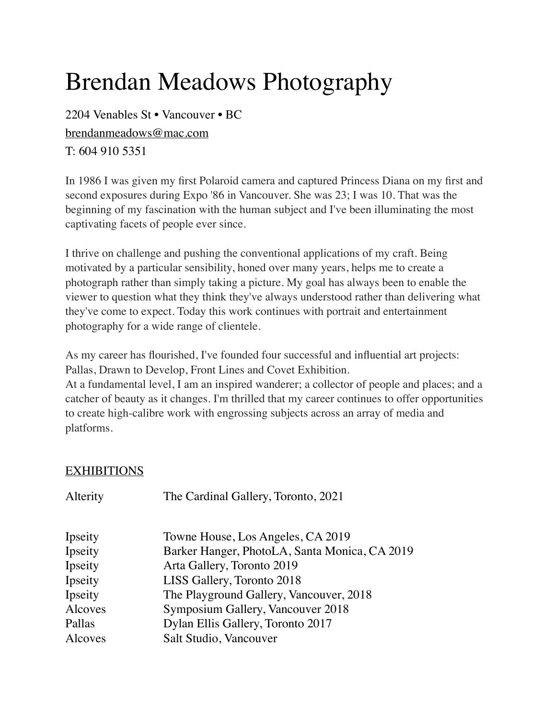## Brendan Meadows Photography

2204 Venables St • Vancouver • BC [brendanmeadows@mac.com](mailto:brendanmeadows@mac.com) T: 604 910 5351

In 1986 I was given my first Polaroid camera and captured Princess Diana on my first and second exposures during Expo '86 in Vancouver. She was 23; I was 10. That was the beginning of my fascination with the human subject and I've been illuminating the most captivating facets of people ever since.

I thrive on challenge and pushing the conventional applications of my craft. Being motivated by a particular sensibility, honed over many years, helps me to create a photograph rather than simply taking a picture. My goal has always been to enable the viewer to question what they think they've always understood rather than delivering what they've come to expect. Today this work continues with portrait and entertainment photography for a wide range of clientele.

As my career has flourished, I've founded four successful and influential art projects: Pallas, Drawn to Develop, Front Lines and Covet Exhibition.

At a fundamental level, I am an inspired wanderer; a collector of people and places; and a catcher of beauty as it changes. I'm thrilled that my career continues to offer opportunities to create high-calibre work with engrossing subjects across an array of media and platforms.

## EXHIBITIONS

| Alterity | The Cardinal Gallery, Toronto, 2021           |
|----------|-----------------------------------------------|
| Ipseity  | Towne House, Los Angeles, CA 2019             |
| Ipseity  | Barker Hanger, PhotoLA, Santa Monica, CA 2019 |
| Ipseity  | Arta Gallery, Toronto 2019                    |
| Ipseity  | LISS Gallery, Toronto 2018                    |
| Ipseity  | The Playground Gallery, Vancouver, 2018       |
| Alcoves  | Symposium Gallery, Vancouver 2018             |
| Pallas   | Dylan Ellis Gallery, Toronto 2017             |
| Alcoves  | Salt Studio, Vancouver                        |